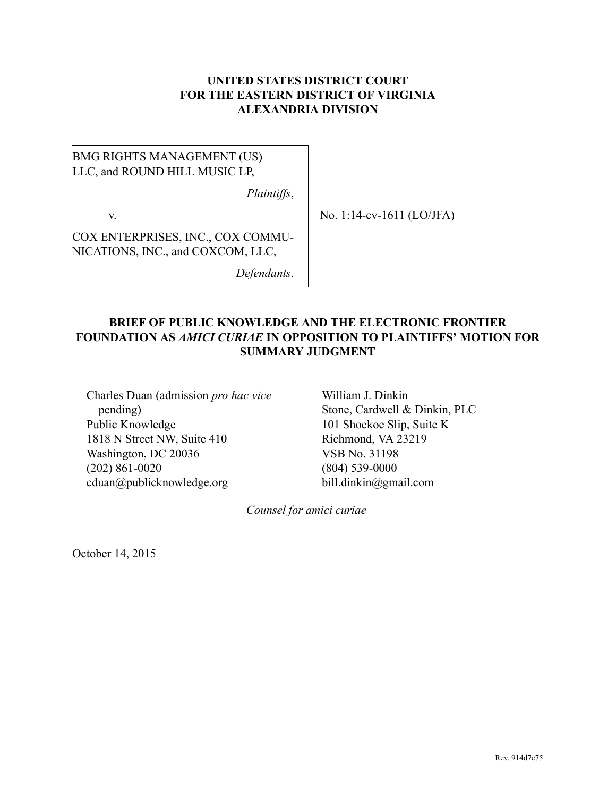## **UNITED STATES DISTRICT COURT FOR THE EASTERN DISTRICT OF VIRGINIA ALEXANDRIA DIVISION**

# BMG RIGHTS MANAGEMENT (US) LLC, and ROUND HILL MUSIC LP,

*Plaintiffs*,

v.

No. 1:14-cv-1611 (LO/JFA)

COX ENTERPRISES, INC., COX COMMU-NICATIONS, INC., and COXCOM, LLC,

*Defendants*.

# **BRIEF OF PUBLIC KNOWLEDGE AND THE ELECTRONIC FRONTIER FOUNDATION AS** *AMICI CURIAE* **IN OPPOSITION TO PLAINTIFFS' MOTION FOR SUMMARY JUDGMENT**

Charles Duan (admission *pro hac vice* pending) Public Knowledge 1818 N Street NW, Suite 410 Washington, DC 20036 (202) 861-0020 cduan@publicknowledge.org

William J. Dinkin Stone, Cardwell & Dinkin, PLC 101 Shockoe Slip, Suite K Richmond, VA 23219 VSB No. 31198 (804) 539-0000 bill.dinkin@gmail.com

*Counsel for amici curiae*

October 14, 2015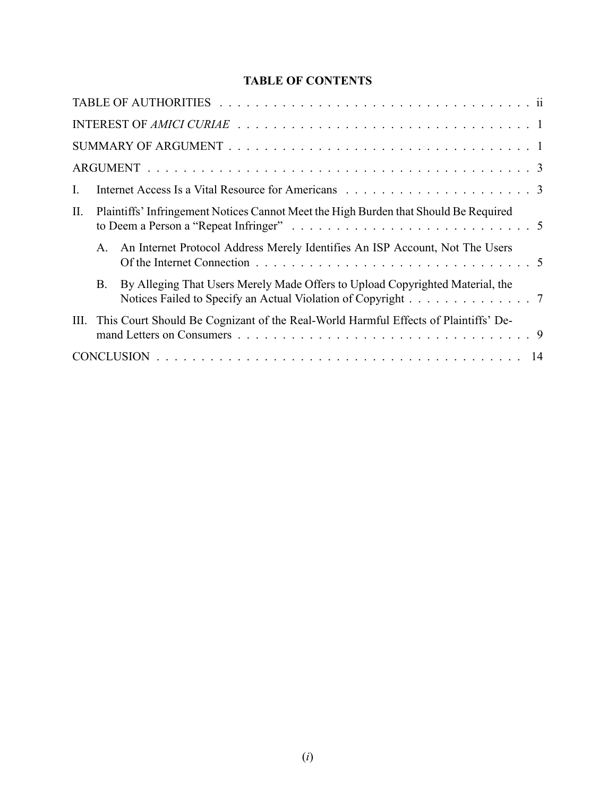# **TABLE OF CONTENTS**

| $\mathbf{I}$ | Internet Access Is a Vital Resource for Americans enterities of the set of the set of the set of the set of the set of the set of the set of the set of the set of the set of the set of the set of the set of the set of the |  |
|--------------|-------------------------------------------------------------------------------------------------------------------------------------------------------------------------------------------------------------------------------|--|
| П.           | Plaintiffs' Infringement Notices Cannot Meet the High Burden that Should Be Required                                                                                                                                          |  |
|              | A. An Internet Protocol Address Merely Identifies An ISP Account, Not The Users                                                                                                                                               |  |
|              | By Alleging That Users Merely Made Offers to Upload Copyrighted Material, the<br><b>B.</b><br>Notices Failed to Specify an Actual Violation of Copyright 7                                                                    |  |
| Ш.           | This Court Should Be Cognizant of the Real-World Harmful Effects of Plaintiffs' De-                                                                                                                                           |  |
|              |                                                                                                                                                                                                                               |  |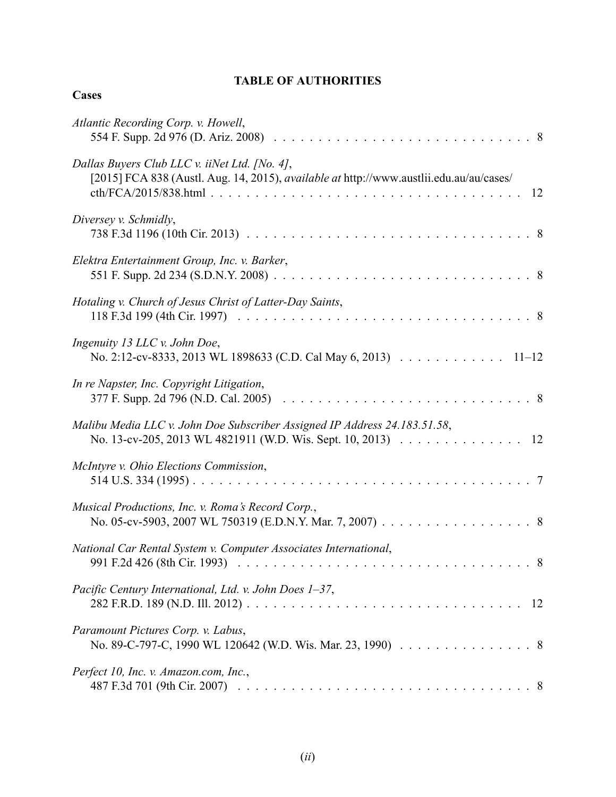# **TABLE OF AUTHORITIES**

## **Cases**

| Atlantic Recording Corp. v. Howell,                                                                                                                   |
|-------------------------------------------------------------------------------------------------------------------------------------------------------|
| Dallas Buyers Club LLC v. iiNet Ltd. [No. 4],<br>[2015] FCA 838 (Austl. Aug. 14, 2015), <i>available at http://www.austlii.edu.au/au/cases/</i><br>12 |
| Diversey v. Schmidly,                                                                                                                                 |
| Elektra Entertainment Group, Inc. v. Barker,                                                                                                          |
| Hotaling v. Church of Jesus Christ of Latter-Day Saints,                                                                                              |
| Ingenuity 13 LLC v. John Doe,<br>No. 2:12-cv-8333, 2013 WL 1898633 (C.D. Cal May 6, 2013) 11–12                                                       |
| In re Napster, Inc. Copyright Litigation,                                                                                                             |
| Malibu Media LLC v. John Doe Subscriber Assigned IP Address 24.183.51.58,<br>No. 13-cv-205, 2013 WL 4821911 (W.D. Wis. Sept. 10, 2013) 12             |
| McIntyre v. Ohio Elections Commission,                                                                                                                |
| Musical Productions, Inc. v. Roma's Record Corp.,<br>No. 05-cv-5903, 2007 WL 750319 (E.D.N.Y. Mar. 7, 2007) 8                                         |
| National Car Rental System v. Computer Associates International,                                                                                      |
| Pacific Century International, Ltd. v. John Does 1-37,<br>12                                                                                          |
| Paramount Pictures Corp. v. Labus,<br>No. 89-C-797-C, 1990 WL 120642 (W.D. Wis. Mar. 23, 1990) 8                                                      |
| Perfect 10, Inc. v. Amazon.com, Inc.,                                                                                                                 |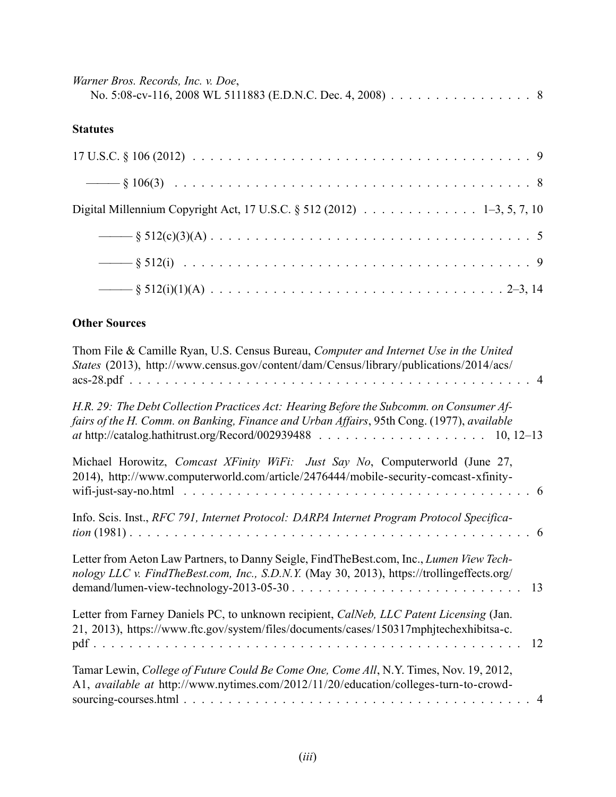| Warner Bros. Records, Inc. v. Doe,                         |  |
|------------------------------------------------------------|--|
| No. 5:08-cv-116, 2008 WL 5111883 (E.D.N.C. Dec. 4, 2008) 8 |  |

# **Statutes**

| Digital Millennium Copyright Act, 17 U.S.C. § 512 (2012) 1-3, 5, 7, 10 |  |
|------------------------------------------------------------------------|--|
|                                                                        |  |
|                                                                        |  |
|                                                                        |  |

# **Other Sources**

| Thom File & Camille Ryan, U.S. Census Bureau, Computer and Internet Use in the United<br>States (2013), http://www.census.gov/content/dam/Census/library/publications/2014/acs/<br>$\overline{4}$ |
|---------------------------------------------------------------------------------------------------------------------------------------------------------------------------------------------------|
| H.R. 29: The Debt Collection Practices Act: Hearing Before the Subcomm. on Consumer Af-<br>fairs of the H. Comm. on Banking, Finance and Urban Affairs, 95th Cong. (1977), available              |
| Michael Horowitz, Comcast XFinity WiFi: Just Say No, Computerworld (June 27,<br>2014), http://www.computerworld.com/article/2476444/mobile-security-comcast-xfinity-                              |
| Info. Scis. Inst., RFC 791, Internet Protocol: DARPA Internet Program Protocol Specifica-                                                                                                         |
| Letter from Aeton Law Partners, to Danny Seigle, FindTheBest.com, Inc., Lumen View Tech-<br>nology LLC v. FindTheBest.com, Inc., S.D.N.Y. (May 30, 2013), https://trollingeffects.org/<br>13      |
| Letter from Farney Daniels PC, to unknown recipient, CalNeb, LLC Patent Licensing (Jan.<br>21, 2013), https://www.ftc.gov/system/files/documents/cases/150317mphjtechexhibitsa-c.<br>12           |
| Tamar Lewin, College of Future Could Be Come One, Come All, N.Y. Times, Nov. 19, 2012,<br>A1, available at http://www.nytimes.com/2012/11/20/education/colleges-turn-to-crowd-<br>$\overline{4}$  |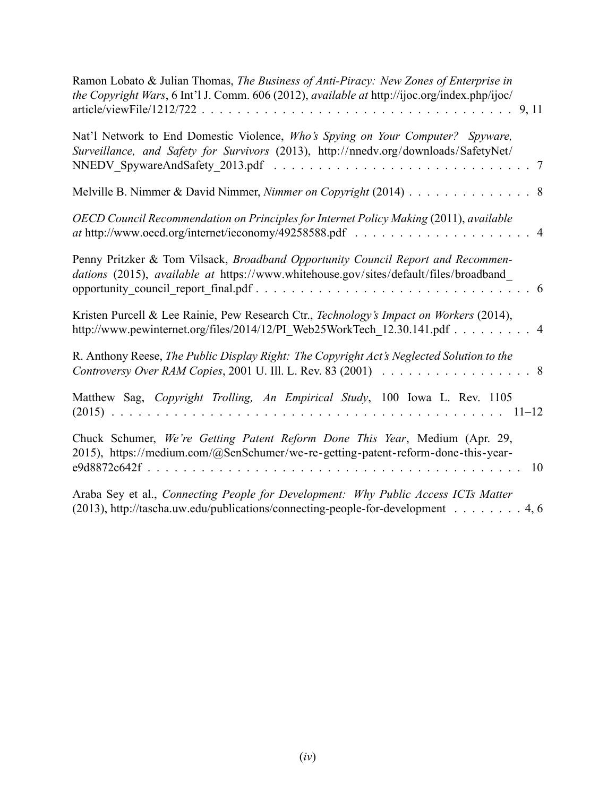| Ramon Lobato & Julian Thomas, The Business of Anti-Piracy: New Zones of Enterprise in<br>the Copyright Wars, 6 Int'l J. Comm. 606 (2012), available at http://ijoc.org/index.php/ijoc/<br>9, 11 |  |
|-------------------------------------------------------------------------------------------------------------------------------------------------------------------------------------------------|--|
| Nat'l Network to End Domestic Violence, Who's Spying on Your Computer? Spyware,<br>Surveillance, and Safety for Survivors (2013), http://nnedv.org/downloads/SafetyNet/<br>7                    |  |
| Melville B. Nimmer & David Nimmer, Nimmer on Copyright (2014) 8                                                                                                                                 |  |
| OECD Council Recommendation on Principles for Internet Policy Making (2011), available                                                                                                          |  |
| Penny Pritzker & Tom Vilsack, Broadband Opportunity Council Report and Recommen-<br>dations (2015), available at https://www.whitehouse.gov/sites/default/files/broadband                       |  |
| Kristen Purcell & Lee Rainie, Pew Research Ctr., Technology's Impact on Workers (2014),<br>http://www.pewinternet.org/files/2014/12/PI_Web25WorkTech_12.30.141.pdf 4                            |  |
| R. Anthony Reese, The Public Display Right: The Copyright Act's Neglected Solution to the<br>Controversy Over RAM Copies, 2001 U. Ill. L. Rev. 83 (2001) 8                                      |  |
| Matthew Sag, Copyright Trolling, An Empirical Study, 100 Iowa L. Rev. 1105                                                                                                                      |  |
| Chuck Schumer, We're Getting Patent Reform Done This Year, Medium (Apr. 29,<br>2015), https://medium.com/@SenSchumer/we-re-getting-patent-reform-done-this-year-<br>10                          |  |
| Araba Sey et al., Connecting People for Development: Why Public Access ICTs Matter<br>(2013), http://tascha.uw.edu/publications/connecting-people-for-development 4, 6                          |  |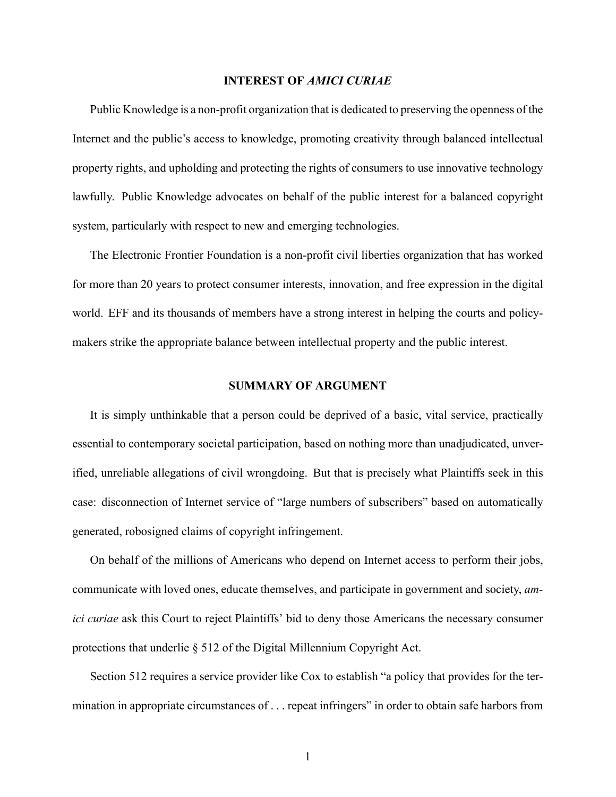#### **INTEREST OF** *AMICI CURIAE*

Public Knowledge is a non-profit organization that is dedicated to preserving the openness of the Internet and the public's access to knowledge, promoting creativity through balanced intellectual property rights, and upholding and protecting the rights of consumers to use innovative technology lawfully. Public Knowledge advocates on behalf of the public interest for a balanced copyright system, particularly with respect to new and emerging technologies.

The Electronic Frontier Foundation is a non-profit civil liberties organization that has worked for more than 20 years to protect consumer interests, innovation, and free expression in the digital world. EFF and its thousands of members have a strong interest in helping the courts and policymakers strike the appropriate balance between intellectual property and the public interest.

#### **SUMMARY OF ARGUMENT**

It is simply unthinkable that a person could be deprived of a basic, vital service, practically essential to contemporary societal participation, based on nothing more than unadjudicated, unverified, unreliable allegations of civil wrongdoing. But that is precisely what Plaintiffs seek in this case: disconnection of Internet service of "large numbers of subscribers" based on automatically generated, robosigned claims of copyright infringement.

On behalf of the millions of Americans who depend on Internet access to perform their jobs, communicate with loved ones, educate themselves, and participate in government and society, *amici curiae* ask this Court to reject Plaintiffs' bid to deny those Americans the necessary consumer protections that underlie § 512 of the Digital Millennium Copyright Act.

Section 512 requires a service provider like Cox to establish "a policy that provides for the termination in appropriate circumstances of . . . repeat infringers" in order to obtain safe harbors from

1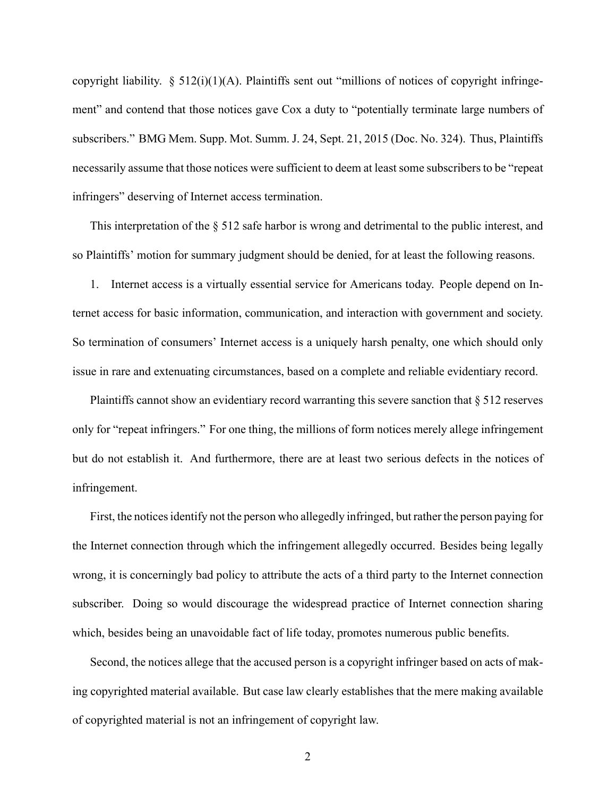copyright liability.  $\S$  512(i)(1)(A). Plaintiffs sent out "millions of notices of copyright infringement" and contend that those notices gave Cox a duty to "potentially terminate large numbers of subscribers." BMG Mem. Supp. Mot. Summ. J. 24, Sept. 21, 2015 (Doc. No. 324). Thus, Plaintiffs necessarily assume that those notices were sufficient to deem at least some subscribers to be "repeat infringers" deserving of Internet access termination.

This interpretation of the § 512 safe harbor is wrong and detrimental to the public interest, and so Plaintiffs' motion for summary judgment should be denied, for at least the following reasons.

1. Internet access is a virtually essential service for Americans today. People depend on Internet access for basic information, communication, and interaction with government and society. So termination of consumers' Internet access is a uniquely harsh penalty, one which should only issue in rare and extenuating circumstances, based on a complete and reliable evidentiary record.

Plaintiffs cannot show an evidentiary record warranting this severe sanction that § 512 reserves only for "repeat infringers." For one thing, the millions of form notices merely allege infringement but do not establish it. And furthermore, there are at least two serious defects in the notices of infringement.

First, the notices identify not the person who allegedly infringed, but rather the person paying for the Internet connection through which the infringement allegedly occurred. Besides being legally wrong, it is concerningly bad policy to attribute the acts of a third party to the Internet connection subscriber. Doing so would discourage the widespread practice of Internet connection sharing which, besides being an unavoidable fact of life today, promotes numerous public benefits.

Second, the notices allege that the accused person is a copyright infringer based on acts of making copyrighted material available. But case law clearly establishes that the mere making available of copyrighted material is not an infringement of copyright law.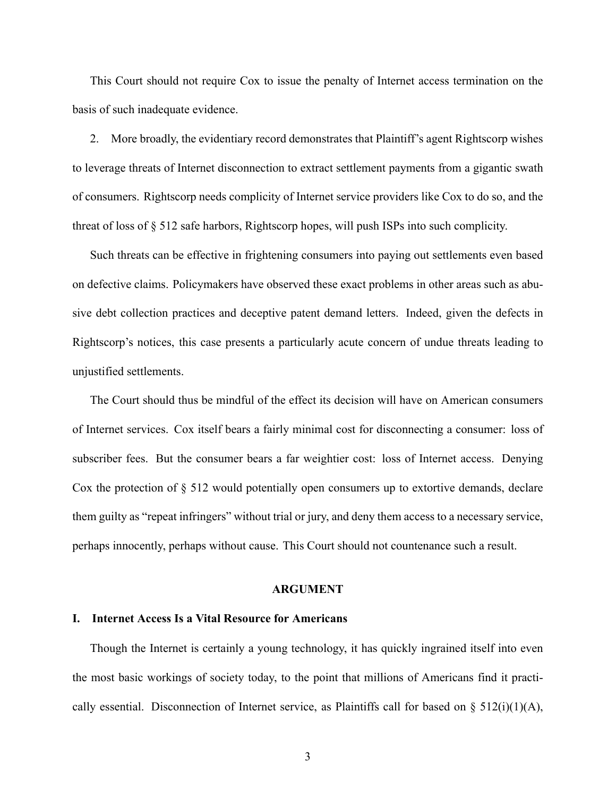This Court should not require Cox to issue the penalty of Internet access termination on the basis of such inadequate evidence.

2. More broadly, the evidentiary record demonstrates that Plaintiff's agent Rightscorp wishes to leverage threats of Internet disconnection to extract settlement payments from a gigantic swath of consumers. Rightscorp needs complicity of Internet service providers like Cox to do so, and the threat of loss of § 512 safe harbors, Rightscorp hopes, will push ISPs into such complicity.

Such threats can be effective in frightening consumers into paying out settlements even based on defective claims. Policymakers have observed these exact problems in other areas such as abusive debt collection practices and deceptive patent demand letters. Indeed, given the defects in Rightscorp's notices, this case presents a particularly acute concern of undue threats leading to unjustified settlements.

The Court should thus be mindful of the effect its decision will have on American consumers of Internet services. Cox itself bears a fairly minimal cost for disconnecting a consumer: loss of subscriber fees. But the consumer bears a far weightier cost: loss of Internet access. Denying Cox the protection of § 512 would potentially open consumers up to extortive demands, declare them guilty as "repeat infringers" without trial or jury, and deny them access to a necessary service, perhaps innocently, perhaps without cause. This Court should not countenance such a result.

#### **ARGUMENT**

#### **I. Internet Access Is a Vital Resource for Americans**

Though the Internet is certainly a young technology, it has quickly ingrained itself into even the most basic workings of society today, to the point that millions of Americans find it practically essential. Disconnection of Internet service, as Plaintiffs call for based on  $\S$  512(i)(1)(A),

3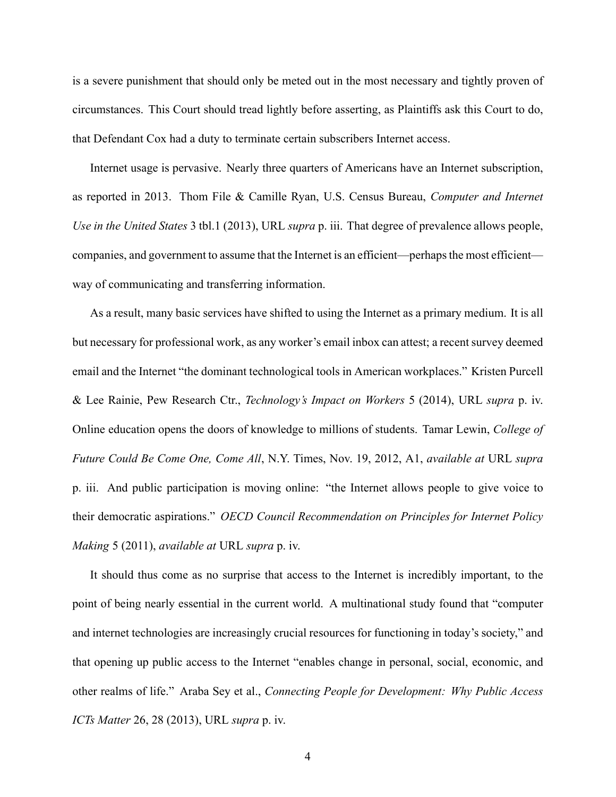is a severe punishment that should only be meted out in the most necessary and tightly proven of circumstances. This Court should tread lightly before asserting, as Plaintiffs ask this Court to do, that Defendant Cox had a duty to terminate certain subscribers Internet access.

Internet usage is pervasive. Nearly three quarters of Americans have an Internet subscription, as reported in 2013. Thom File & Camille Ryan, U.S. Census Bureau, *Computer and Internet Use in the United States* 3 tbl.1 (2013), URL *supra* p. iii. That degree of prevalence allows people, companies, and government to assume that the Internet is an efficient—perhaps the most efficient way of communicating and transferring information.

As a result, many basic services have shifted to using the Internet as a primary medium. It is all but necessary for professional work, as any worker's email inbox can attest; a recent survey deemed email and the Internet "the dominant technological tools in American workplaces." Kristen Purcell & Lee Rainie, Pew Research Ctr., *Technology's Impact on Workers* 5 (2014), URL *supra* p. iv. Online education opens the doors of knowledge to millions of students. Tamar Lewin, *College of Future Could Be Come One, Come All*, N.Y. Times, Nov. 19, 2012, A1, *available at* URL *supra* p. iii. And public participation is moving online: "the Internet allows people to give voice to their democratic aspirations." *OECD Council Recommendation on Principles for Internet Policy Making* 5 (2011), *available at* URL *supra* p. iv.

It should thus come as no surprise that access to the Internet is incredibly important, to the point of being nearly essential in the current world. A multinational study found that "computer and internet technologies are increasingly crucial resources for functioning in today's society," and that opening up public access to the Internet "enables change in personal, social, economic, and other realms of life." Araba Sey et al., *Connecting People for Development: Why Public Access ICTs Matter* 26, 28 (2013), URL *supra* p. iv.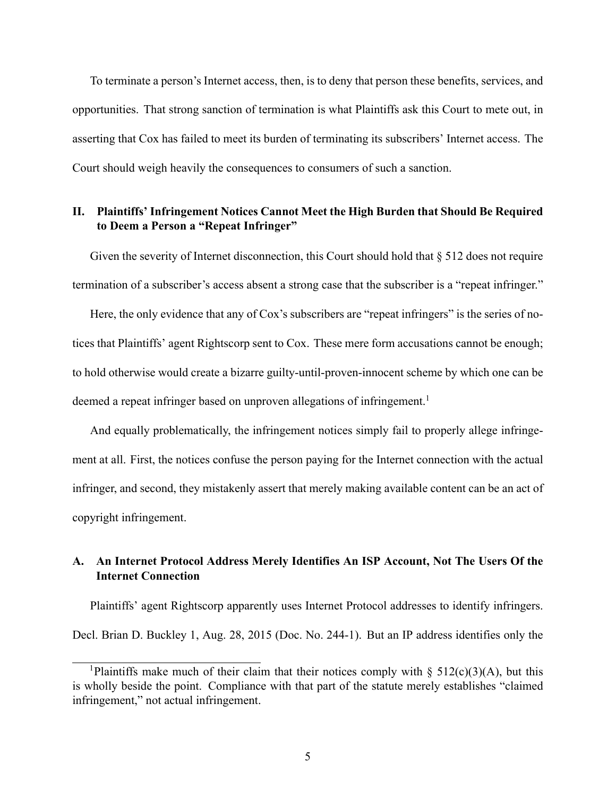To terminate a person's Internet access, then, is to deny that person these benefits, services, and opportunities. That strong sanction of termination is what Plaintiffs ask this Court to mete out, in asserting that Cox has failed to meet its burden of terminating its subscribers' Internet access. The Court should weigh heavily the consequences to consumers of such a sanction.

## **II. Plaintiffs' Infringement Notices Cannot Meet the High Burden that Should Be Required to Deem a Person a "Repeat Infringer"**

Given the severity of Internet disconnection, this Court should hold that  $\S 512$  does not require termination of a subscriber's access absent a strong case that the subscriber is a "repeat infringer."

Here, the only evidence that any of Cox's subscribers are "repeat infringers" is the series of notices that Plaintiffs' agent Rightscorp sent to Cox. These mere form accusations cannot be enough; to hold otherwise would create a bizarre guilty-until-proven-innocent scheme by which one can be deemed a repeat infringer based on unproven allegations of infringement.<sup>1</sup>

And equally problematically, the infringement notices simply fail to properly allege infringement at all. First, the notices confuse the person paying for the Internet connection with the actual infringer, and second, they mistakenly assert that merely making available content can be an act of copyright infringement.

### **A. An Internet Protocol Address Merely Identifies An ISP Account, Not The Users Of the Internet Connection**

Plaintiffs' agent Rightscorp apparently uses Internet Protocol addresses to identify infringers. Decl. Brian D. Buckley 1, Aug. 28, 2015 (Doc. No. 244-1). But an IP address identifies only the

<sup>&</sup>lt;sup>1</sup>Plaintiffs make much of their claim that their notices comply with  $\S$  512(c)(3)(A), but this is wholly beside the point. Compliance with that part of the statute merely establishes "claimed infringement," not actual infringement.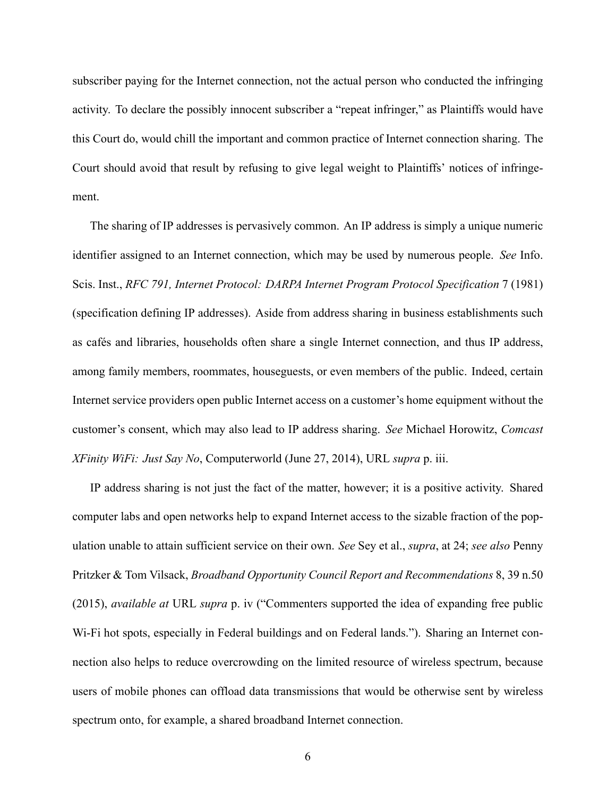subscriber paying for the Internet connection, not the actual person who conducted the infringing activity. To declare the possibly innocent subscriber a "repeat infringer," as Plaintiffs would have this Court do, would chill the important and common practice of Internet connection sharing. The Court should avoid that result by refusing to give legal weight to Plaintiffs' notices of infringement.

The sharing of IP addresses is pervasively common. An IP address is simply a unique numeric identifier assigned to an Internet connection, which may be used by numerous people. *See* Info. Scis. Inst., *RFC 791, Internet Protocol: DARPA Internet Program Protocol Specification* 7 (1981) (specification defining IP addresses). Aside from address sharing in business establishments such as cafés and libraries, households often share a single Internet connection, and thus IP address, among family members, roommates, houseguests, or even members of the public. Indeed, certain Internet service providers open public Internet access on a customer's home equipment without the customer's consent, which may also lead to IP address sharing. *See* Michael Horowitz, *Comcast XFinity WiFi: Just Say No*, Computerworld (June 27, 2014), URL *supra* p. iii.

IP address sharing is not just the fact of the matter, however; it is a positive activity. Shared computer labs and open networks help to expand Internet access to the sizable fraction of the population unable to attain sufficient service on their own. *See* Sey et al., *supra*, at 24; *see also* Penny Pritzker & Tom Vilsack, *Broadband Opportunity Council Report and Recommendations* 8, 39 n.50 (2015), *available at* URL *supra* p. iv ("Commenters supported the idea of expanding free public Wi-Fi hot spots, especially in Federal buildings and on Federal lands."). Sharing an Internet connection also helps to reduce overcrowding on the limited resource of wireless spectrum, because users of mobile phones can offload data transmissions that would be otherwise sent by wireless spectrum onto, for example, a shared broadband Internet connection.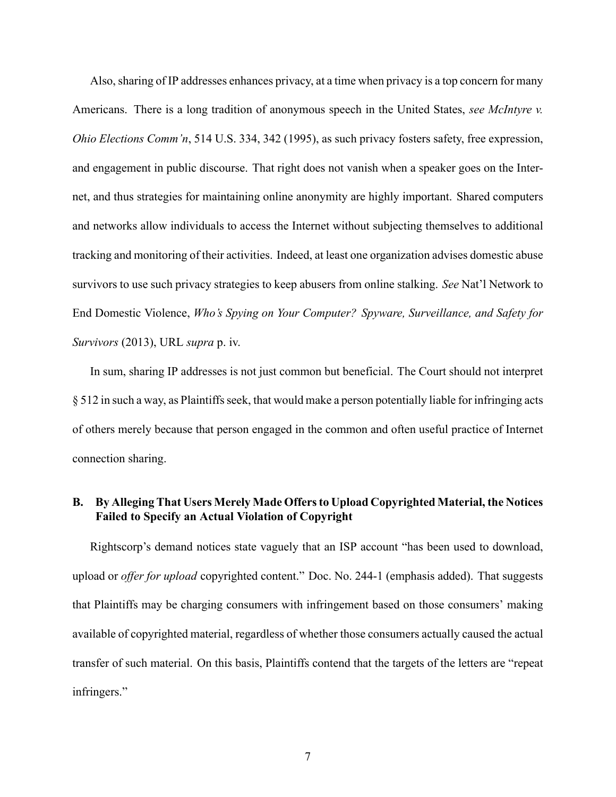Also, sharing of IP addresses enhances privacy, at a time when privacy is a top concern for many Americans. There is a long tradition of anonymous speech in the United States, *see McIntyre v. Ohio Elections Comm'n*, 514 U.S. 334, 342 (1995), as such privacy fosters safety, free expression, and engagement in public discourse. That right does not vanish when a speaker goes on the Internet, and thus strategies for maintaining online anonymity are highly important. Shared computers and networks allow individuals to access the Internet without subjecting themselves to additional tracking and monitoring of their activities. Indeed, at least one organization advises domestic abuse survivors to use such privacy strategies to keep abusers from online stalking. *See* Nat'l Network to End Domestic Violence, *Who's Spying on Your Computer? Spyware, Surveillance, and Safety for Survivors* (2013), URL *supra* p. iv.

In sum, sharing IP addresses is not just common but beneficial. The Court should not interpret § 512 in such a way, as Plaintiffs seek, that would make a person potentially liable for infringing acts of others merely because that person engaged in the common and often useful practice of Internet connection sharing.

### **B. By Alleging That Users Merely Made Offers to Upload Copyrighted Material, the Notices Failed to Specify an Actual Violation of Copyright**

Rightscorp's demand notices state vaguely that an ISP account "has been used to download, upload or *offer for upload* copyrighted content." Doc. No. 244-1 (emphasis added). That suggests that Plaintiffs may be charging consumers with infringement based on those consumers' making available of copyrighted material, regardless of whether those consumers actually caused the actual transfer of such material. On this basis, Plaintiffs contend that the targets of the letters are "repeat infringers."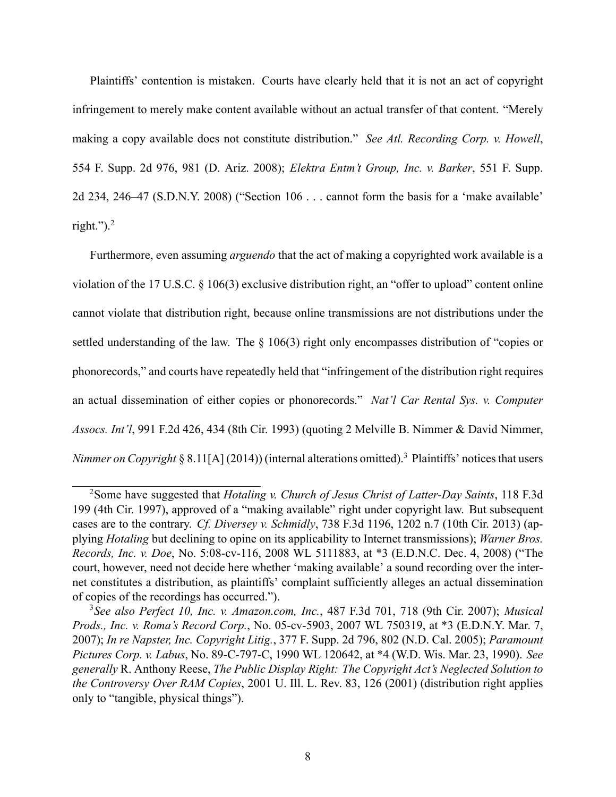Plaintiffs' contention is mistaken. Courts have clearly held that it is not an act of copyright infringement to merely make content available without an actual transfer of that content. "Merely making a copy available does not constitute distribution." *See Atl. Recording Corp. v. Howell*, 554 F. Supp. 2d 976, 981 (D. Ariz. 2008); *Elektra Entm't Group, Inc. v. Barker*, 551 F. Supp. 2d 234, 246–47 (S.D.N.Y. 2008) ("Section 106 . . . cannot form the basis for a 'make available' right."). $2$ 

Furthermore, even assuming *arguendo* that the act of making a copyrighted work available is a violation of the 17 U.S.C. § 106(3) exclusive distribution right, an "offer to upload" content online cannot violate that distribution right, because online transmissions are not distributions under the settled understanding of the law. The § 106(3) right only encompasses distribution of "copies or phonorecords," and courts have repeatedly held that "infringement of the distribution right requires an actual dissemination of either copies or phonorecords." *Nat'l Car Rental Sys. v. Computer Assocs. Int'l*, 991 F.2d 426, 434 (8th Cir. 1993) (quoting 2 Melville B. Nimmer & David Nimmer, *Nimmer on Copyright* § 8.11[A] (2014)) (internal alterations omitted).<sup>3</sup> Plaintiffs' notices that users

<sup>2</sup>Some have suggested that *Hotaling v. Church of Jesus Christ of Latter-Day Saints*, 118 F.3d 199 (4th Cir. 1997), approved of a "making available" right under copyright law. But subsequent cases are to the contrary. *Cf. Diversey v. Schmidly*, 738 F.3d 1196, 1202 n.7 (10th Cir. 2013) (applying *Hotaling* but declining to opine on its applicability to Internet transmissions); *Warner Bros. Records, Inc. v. Doe*, No. 5:08-cv-116, 2008 WL 5111883, at \*3 (E.D.N.C. Dec. 4, 2008) ("The court, however, need not decide here whether 'making available' a sound recording over the internet constitutes a distribution, as plaintiffs' complaint sufficiently alleges an actual dissemination of copies of the recordings has occurred.").

<sup>3</sup>*See also Perfect 10, Inc. v. Amazon.com, Inc.*, 487 F.3d 701, 718 (9th Cir. 2007); *Musical Prods., Inc. v. Roma's Record Corp.*, No. 05-cv-5903, 2007 WL 750319, at \*3 (E.D.N.Y. Mar. 7, 2007); *In re Napster, Inc. Copyright Litig.*, 377 F. Supp. 2d 796, 802 (N.D. Cal. 2005); *Paramount Pictures Corp. v. Labus*, No. 89-C-797-C, 1990 WL 120642, at \*4 (W.D. Wis. Mar. 23, 1990). *See generally* R. Anthony Reese, *The Public Display Right: The Copyright Act's Neglected Solution to the Controversy Over RAM Copies*, 2001 U. Ill. L. Rev. 83, 126 (2001) (distribution right applies only to "tangible, physical things").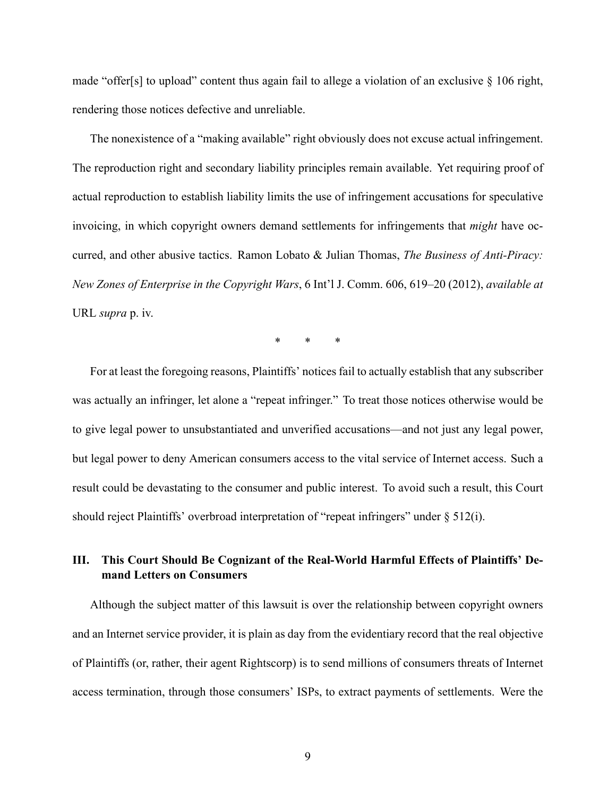made "offer[s] to upload" content thus again fail to allege a violation of an exclusive § 106 right, rendering those notices defective and unreliable.

The nonexistence of a "making available" right obviously does not excuse actual infringement. The reproduction right and secondary liability principles remain available. Yet requiring proof of actual reproduction to establish liability limits the use of infringement accusations for speculative invoicing, in which copyright owners demand settlements for infringements that *might* have occurred, and other abusive tactics. Ramon Lobato & Julian Thomas, *The Business of Anti-Piracy: New Zones of Enterprise in the Copyright Wars*, 6 Int'l J. Comm. 606, 619–20 (2012), *available at* URL *supra* p. iv.

\* \* \*

For at least the foregoing reasons, Plaintiffs' notices fail to actually establish that any subscriber was actually an infringer, let alone a "repeat infringer." To treat those notices otherwise would be to give legal power to unsubstantiated and unverified accusations—and not just any legal power, but legal power to deny American consumers access to the vital service of Internet access. Such a result could be devastating to the consumer and public interest. To avoid such a result, this Court should reject Plaintiffs' overbroad interpretation of "repeat infringers" under § 512(i).

### **III. This Court Should Be Cognizant of the Real-World Harmful Effects of Plaintiffs' Demand Letters on Consumers**

Although the subject matter of this lawsuit is over the relationship between copyright owners and an Internet service provider, it is plain as day from the evidentiary record that the real objective of Plaintiffs (or, rather, their agent Rightscorp) is to send millions of consumers threats of Internet access termination, through those consumers' ISPs, to extract payments of settlements. Were the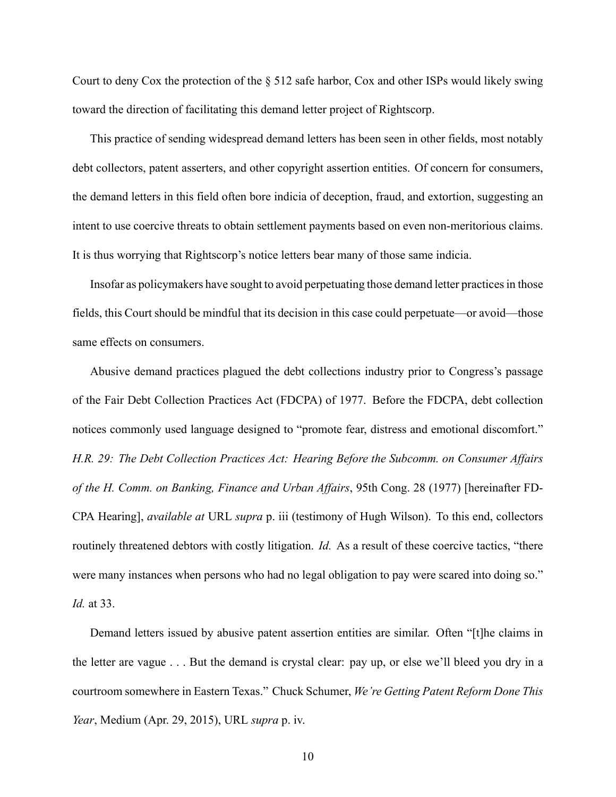Court to deny Cox the protection of the § 512 safe harbor, Cox and other ISPs would likely swing toward the direction of facilitating this demand letter project of Rightscorp.

This practice of sending widespread demand letters has been seen in other fields, most notably debt collectors, patent asserters, and other copyright assertion entities. Of concern for consumers, the demand letters in this field often bore indicia of deception, fraud, and extortion, suggesting an intent to use coercive threats to obtain settlement payments based on even non-meritorious claims. It is thus worrying that Rightscorp's notice letters bear many of those same indicia.

Insofar as policymakers have sought to avoid perpetuating those demand letter practices in those fields, this Court should be mindful that its decision in this case could perpetuate—or avoid—those same effects on consumers.

Abusive demand practices plagued the debt collections industry prior to Congress's passage of the Fair Debt Collection Practices Act (FDCPA) of 1977. Before the FDCPA, debt collection notices commonly used language designed to "promote fear, distress and emotional discomfort." *H.R. 29: The Debt Collection Practices Act: Hearing Before the Subcomm. on Consumer Affairs of the H. Comm. on Banking, Finance and Urban Affairs*, 95th Cong. 28 (1977) [hereinafter FD-CPA Hearing], *available at* URL *supra* p. iii (testimony of Hugh Wilson). To this end, collectors routinely threatened debtors with costly litigation. *Id.* As a result of these coercive tactics, "there were many instances when persons who had no legal obligation to pay were scared into doing so." *Id.* at 33.

Demand letters issued by abusive patent assertion entities are similar. Often "[t]he claims in the letter are vague . . . But the demand is crystal clear: pay up, or else we'll bleed you dry in a courtroom somewhere in Eastern Texas." Chuck Schumer, *We're Getting Patent Reform Done This Year*, Medium (Apr. 29, 2015), URL *supra* p. iv.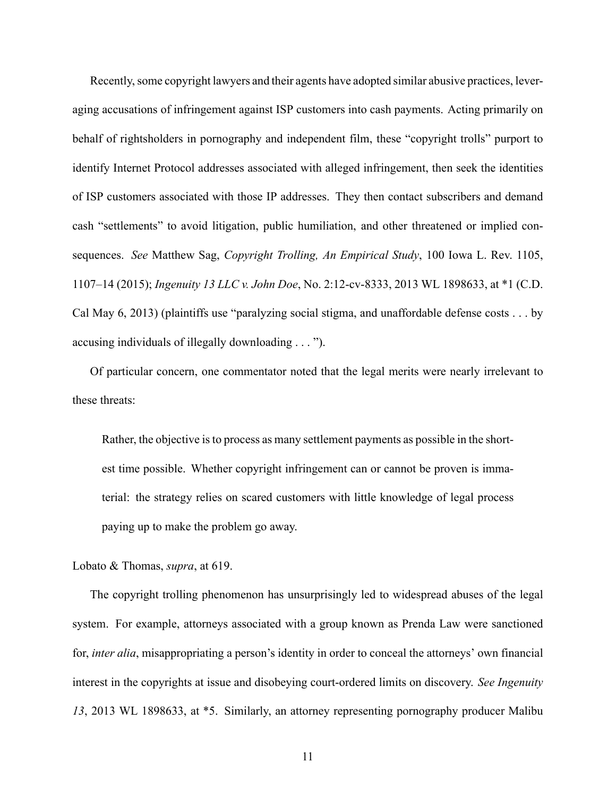Recently, some copyright lawyers and their agents have adopted similar abusive practices, leveraging accusations of infringement against ISP customers into cash payments. Acting primarily on behalf of rightsholders in pornography and independent film, these "copyright trolls" purport to identify Internet Protocol addresses associated with alleged infringement, then seek the identities of ISP customers associated with those IP addresses. They then contact subscribers and demand cash "settlements" to avoid litigation, public humiliation, and other threatened or implied consequences. *See* Matthew Sag, *Copyright Trolling, An Empirical Study*, 100 Iowa L. Rev. 1105, 1107–14 (2015); *Ingenuity 13 LLC v. John Doe*, No. 2:12-cv-8333, 2013 WL 1898633, at \*1 (C.D. Cal May 6, 2013) (plaintiffs use "paralyzing social stigma, and unaffordable defense costs . . . by accusing individuals of illegally downloading . . . ").

Of particular concern, one commentator noted that the legal merits were nearly irrelevant to these threats:

Rather, the objective is to process as many settlement payments as possible in the shortest time possible. Whether copyright infringement can or cannot be proven is immaterial: the strategy relies on scared customers with little knowledge of legal process paying up to make the problem go away.

Lobato & Thomas, *supra*, at 619.

The copyright trolling phenomenon has unsurprisingly led to widespread abuses of the legal system. For example, attorneys associated with a group known as Prenda Law were sanctioned for, *inter alia*, misappropriating a person's identity in order to conceal the attorneys' own financial interest in the copyrights at issue and disobeying court-ordered limits on discovery. *See Ingenuity 13*, 2013 WL 1898633, at \*5. Similarly, an attorney representing pornography producer Malibu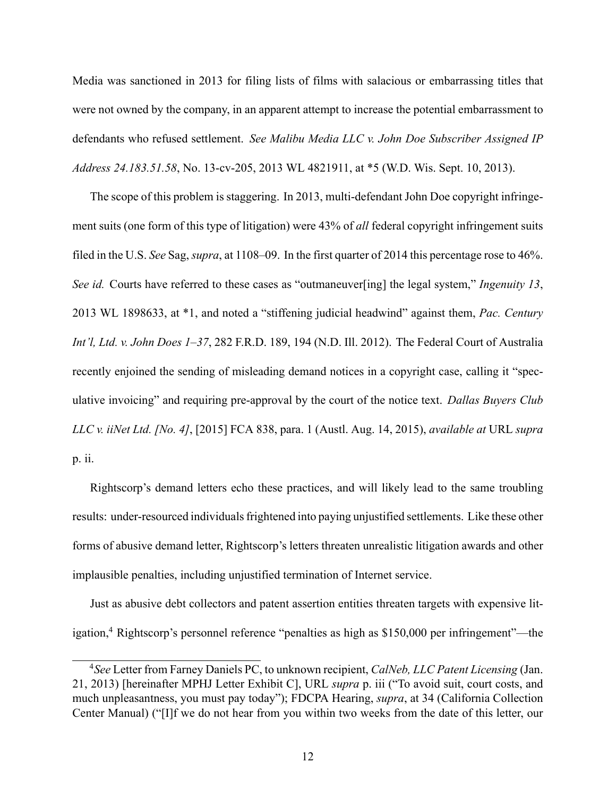Media was sanctioned in 2013 for filing lists of films with salacious or embarrassing titles that were not owned by the company, in an apparent attempt to increase the potential embarrassment to defendants who refused settlement. *See Malibu Media LLC v. John Doe Subscriber Assigned IP Address 24.183.51.58*, No. 13-cv-205, 2013 WL 4821911, at \*5 (W.D. Wis. Sept. 10, 2013).

The scope of this problem is staggering. In 2013, multi-defendant John Doe copyright infringement suits (one form of this type of litigation) were 43% of *all* federal copyright infringement suits filed in the U.S. *See* Sag, *supra*, at 1108–09. In the first quarter of 2014 this percentage rose to 46%. *See id.* Courts have referred to these cases as "outmaneuver[ing] the legal system," *Ingenuity 13*, 2013 WL 1898633, at \*1, and noted a "stiffening judicial headwind" against them, *Pac. Century Int'l, Ltd. v. John Does 1–37*, 282 F.R.D. 189, 194 (N.D. Ill. 2012). The Federal Court of Australia recently enjoined the sending of misleading demand notices in a copyright case, calling it "speculative invoicing" and requiring pre-approval by the court of the notice text. *Dallas Buyers Club LLC v. iiNet Ltd. [No. 4]*, [2015] FCA 838, para. 1 (Austl. Aug. 14, 2015), *available at* URL *supra* p. ii.

Rightscorp's demand letters echo these practices, and will likely lead to the same troubling results: under-resourced individuals frightened into paying unjustified settlements. Like these other forms of abusive demand letter, Rightscorp's letters threaten unrealistic litigation awards and other implausible penalties, including unjustified termination of Internet service.

Just as abusive debt collectors and patent assertion entities threaten targets with expensive litigation,<sup>4</sup> Rightscorp's personnel reference "penalties as high as \$150,000 per infringement"—the

<sup>4</sup>*See* Letter from Farney Daniels PC, to unknown recipient, *CalNeb, LLC Patent Licensing* (Jan. 21, 2013) [hereinafter MPHJ Letter Exhibit C], URL *supra* p. iii ("To avoid suit, court costs, and much unpleasantness, you must pay today"); FDCPA Hearing, *supra*, at 34 (California Collection Center Manual) ("[I]f we do not hear from you within two weeks from the date of this letter, our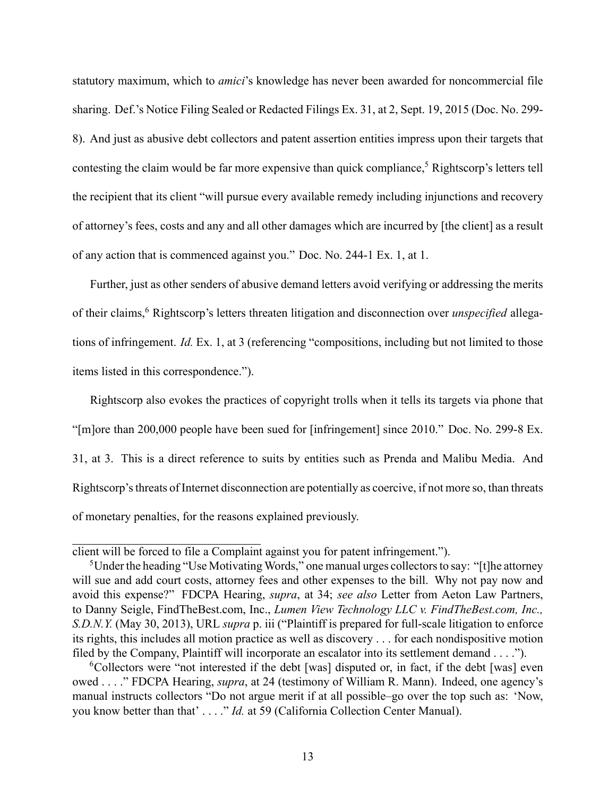statutory maximum, which to *amici*'s knowledge has never been awarded for noncommercial file sharing. Def.'s Notice Filing Sealed or Redacted Filings Ex. 31, at 2, Sept. 19, 2015 (Doc. No. 299- 8). And just as abusive debt collectors and patent assertion entities impress upon their targets that contesting the claim would be far more expensive than quick compliance,<sup>5</sup> Rightscorp's letters tell the recipient that its client "will pursue every available remedy including injunctions and recovery of attorney's fees, costs and any and all other damages which are incurred by [the client] as a result of any action that is commenced against you." Doc. No. 244-1 Ex. 1, at 1.

Further, just as other senders of abusive demand letters avoid verifying or addressing the merits of their claims,<sup>6</sup> Rightscorp's letters threaten litigation and disconnection over *unspecified* allegations of infringement. *Id.* Ex. 1, at 3 (referencing "compositions, including but not limited to those items listed in this correspondence.").

Rightscorp also evokes the practices of copyright trolls when it tells its targets via phone that "[m]ore than 200,000 people have been sued for [infringement] since 2010." Doc. No. 299-8 Ex. 31, at 3. This is a direct reference to suits by entities such as Prenda and Malibu Media. And Rightscorp's threats of Internet disconnection are potentially as coercive, if not more so, than threats of monetary penalties, for the reasons explained previously.

client will be forced to file a Complaint against you for patent infringement.").

<sup>&</sup>lt;sup>5</sup>Under the heading "Use Motivating Words," one manual urges collectors to say: "[t]he attorney will sue and add court costs, attorney fees and other expenses to the bill. Why not pay now and avoid this expense?" FDCPA Hearing, *supra*, at 34; *see also* Letter from Aeton Law Partners, to Danny Seigle, FindTheBest.com, Inc., *Lumen View Technology LLC v. FindTheBest.com, Inc., S.D.N.Y.* (May 30, 2013), URL *supra* p. iii ("Plaintiff is prepared for full-scale litigation to enforce its rights, this includes all motion practice as well as discovery . . . for each nondispositive motion filed by the Company, Plaintiff will incorporate an escalator into its settlement demand . . . .").

<sup>&</sup>lt;sup>6</sup>Collectors were "not interested if the debt [was] disputed or, in fact, if the debt [was] even owed . . . ." FDCPA Hearing, *supra*, at 24 (testimony of William R. Mann). Indeed, one agency's manual instructs collectors "Do not argue merit if at all possible–go over the top such as: 'Now, you know better than that' . . . ." *Id.* at 59 (California Collection Center Manual).